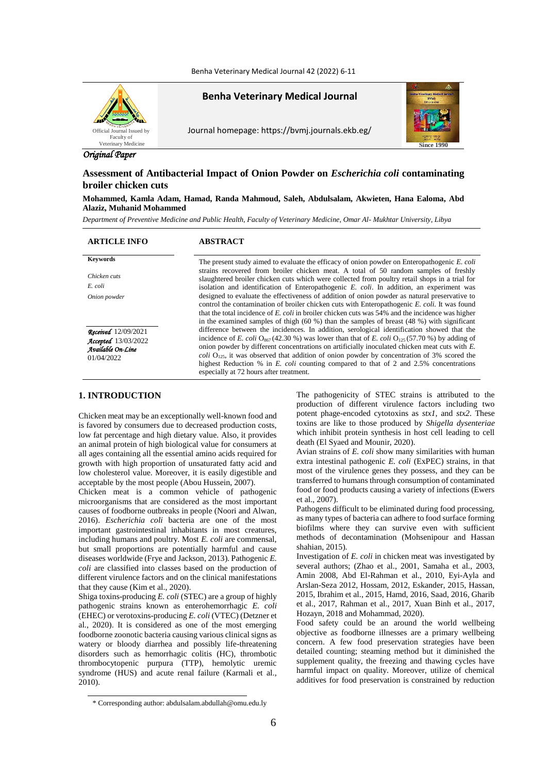Benha Veterinary Medical Journal 42 (2022) 6-11



**Benha Veterinary Medical Journal**

Journal homepage: https://bvmj.journals.ekb.eg/



# *Original Paper*

# **Assessment of Antibacterial Impact of Onion Powder on** *Escherichia coli* **contaminating broiler chicken cuts**

**Mohammed, Kamla Adam, Hamad, Randa Mahmoud, Saleh, Abdulsalam, Akwieten, Hana Ealoma, Abd Alaziz, Muhanid Mohammed**

*Department of Preventive Medicine and Public Health, Faculty of Veterinary Medicine, Omar Al- Mukhtar University, Libya*

### **ARTICLE INFO ABSTRACT**

*Chicken cuts E. coli Onion powder*

*Received*12/09/2021 *Accepted*13/03/2022 *Available On-Line* 01/04/2022

**Keywords** The present study aimed to evaluate the efficacy of onion powder on Enteropathogenic *E. coli* strains recovered from broiler chicken meat. A total of 50 random samples of freshly slaughtered broiler chicken cuts which were collected from poultry retail shops in a trial for isolation and identification of Enteropathogenic *E. coli*. In addition, an experiment was designed to evaluate the effectiveness of addition of onion powder as natural preservative to control the contamination of broiler chicken cuts with Enteropathogenic *E. coli.* It was found that the total incidence of *E. coli* in broiler chicken cuts was 54% and the incidence was higher in the examined samples of thigh (60 %) than the samples of breast (48 %) with significant difference between the incidences. In addition, serological identification showed that the incidence of *E. coli*  $O_{867}$  (42.30 %) was lower than that of *E. coli*  $O_{125}$  (57.70 %) by adding of onion powder by different concentrations on artificially inoculated chicken meat cuts with *E. coli*  $O_{125}$ , it was observed that addition of onion powder by concentration of 3% scored the highest Reduction % in *E. coli* counting compared to that of 2 and 2.5% concentrations especially at 72 hours after treatment.

# **1. INTRODUCTION**

Chicken meat may be an exceptionally well-known food and is favored by consumers due to decreased production costs, low fat percentage and high dietary value. Also, it provides an animal protein of high biological value for consumers at all ages containing all the essential amino acids required for growth with high proportion of unsaturated fatty acid and low cholesterol value. Moreover, it is easily digestible and acceptable by the most people (Abou Hussein, 2007).

Chicken meat is a common vehicle of pathogenic microorganisms that are considered as the most important causes of foodborne outbreaks in people (Noori and Alwan, 2016). *Escherichia coli* bacteria are one of the most important gastrointestinal inhabitants in most creatures, including humans and poultry. Most *E. coli* are commensal, but small proportions are potentially harmful and cause diseases worldwide (Frye and Jackson, 2013). Pathogenic *E. coli* are classified into classes based on the production of different virulence factors and on the clinical manifestations that they cause (Kim et al., 2020).

Shiga toxins-producing *E. coli* (STEC) are a group of highly pathogenic strains known as enterohemorrhagic *E. coli* (EHEC) or verotoxins-producing *E. coli* (VTEC) (Detzner et al., 2020). It is considered as one of the most emerging foodborne zoonotic bacteria causing various clinical signs as watery or bloody diarrhea and possibly life-threatening disorders such as hemorrhagic colitis (HC), thrombotic thrombocytopenic purpura (TTP), hemolytic uremic syndrome (HUS) and acute renal failure (Karmali et al., 2010).

The pathogenicity of STEC strains is attributed to the production of different virulence factors including two potent phage-encoded cytotoxins as *stx1*, and *stx2*. These toxins are like to those produced by *Shigella dysenteriae* which inhibit protein synthesis in host cell leading to cell death (El Syaed and Mounir, 2020).

Avian strains of *E. coli* show many similarities with human extra intestinal pathogenic *E. coli* (ExPEC) strains, in that most of the virulence genes they possess, and they can be transferred to humans through consumption of contaminated food or food products causing a variety of infections (Ewers et al., 2007).

Pathogens difficult to be eliminated during food processing, as many types of bacteria can adhere to food surface forming biofilms where they can survive even with sufficient methods of decontamination (Mohsenipour and Hassan shahian, 2015).

Investigation of *E. coli* in chicken meat was investigated by several authors; (Zhao et al., 2001, Samaha et al., 2003, Amin 2008, Abd El-Rahman et al., 2010, Eyi-Ayla and Arslan-Seza 2012, Hossam, 2012, Eskander, 2015, Hassan, 2015, Ibrahim et al., 2015, Hamd, 2016, Saad, 2016, Gharib et al., 2017, Rahman et al., 2017, Xuan Binh et al., 2017, Hozayn, 2018 and Mohammad, 2020).

Food safety could be an around the world wellbeing objective as foodborne illnesses are a primary wellbeing concern. A few food preservation strategies have been detailed counting; steaming method but it diminished the supplement quality, the freezing and thawing cycles have harmful impact on quality. Moreover, utilize of chemical additives for food preservation is constrained by reduction

<sup>\*</sup> Corresponding author: abdulsalam.abdullah@omu.edu.ly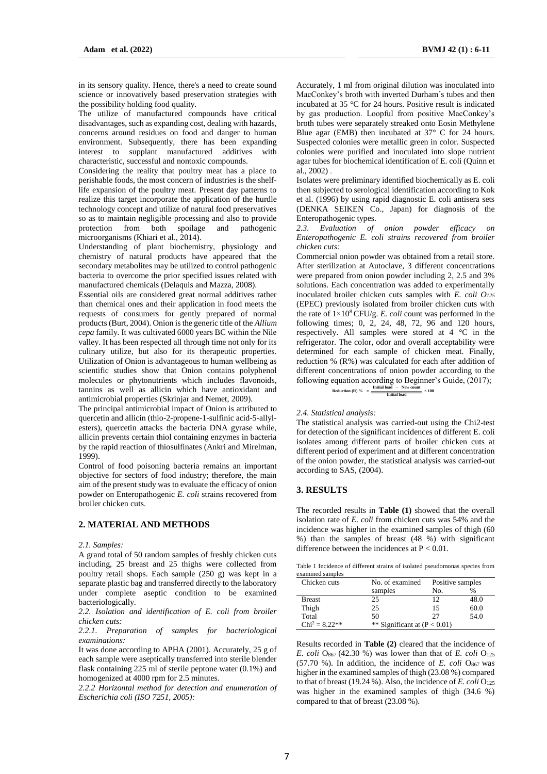in its sensory quality. Hence, there's a need to create sound science or innovatively based preservation strategies with the possibility holding food quality.

The utilize of manufactured compounds have critical disadvantages, such as expanding cost, dealing with hazards, concerns around residues on food and danger to human environment. Subsequently, there has been expanding interest to supplant manufactured additives with characteristic, successful and nontoxic compounds.

Considering the reality that poultry meat has a place to perishable foods, the most concern of industries is the shelflife expansion of the poultry meat. Present day patterns to realize this target incorporate the application of the hurdle technology concept and utilize of natural food preservatives so as to maintain negligible processing and also to provide protection from both spoilage and pathogenic microorganisms (Khiari et al., 2014).

Understanding of plant biochemistry, physiology and chemistry of natural products have appeared that the secondary metabolites may be utilized to control pathogenic bacteria to overcome the prior specified issues related with manufactured chemicals (Delaquis and Mazza, 2008).

Essential oils are considered great normal additives rather than chemical ones and their application in food meets the requests of consumers for gently prepared of normal products (Burt, 2004). Onion is the generic title of the *Allium cepa* family. It was cultivated 6000 years BC within the Nile valley. It has been respected all through time not only for its culinary utilize, but also for its therapeutic properties. Utilization of Onion is advantageous to human wellbeing as scientific studies show that Onion contains polyphenol molecules or phytonutrients which includes flavonoids, tannins as well as allicin which have antioxidant and antimicrobial properties (Skrinjar and Nemet, 2009).

The principal antimicrobial impact of Onion is attributed to quercetin and allicin (thio-2-propene-1-sulfinic acid-5-allylesters), quercetin attacks the bacteria DNA gyrase while, allicin prevents certain thiol containing enzymes in bacteria by the rapid reaction of thiosulfinates (Ankri and Mirelman, 1999).

Control of food poisoning bacteria remains an important objective for sectors of food industry; therefore, the main aim of the present study was to evaluate the efficacy of onion powder on Enteropathogenic *E. coli* strains recovered from broiler chicken cuts.

## **2. MATERIAL AND METHODS**

*2.1. Samples:*

A grand total of 50 random samples of freshly chicken cuts including, 25 breast and 25 thighs were collected from poultry retail shops. Each sample (250 g) was kept in a separate plastic bag and transferred directly to the laboratory under complete aseptic condition to be examined bacteriologically.

*2.2. Isolation and identification of E. coli from broiler chicken cuts:*

*2.2.1. Preparation of samples for bacteriological examinations:*

It was done according to APHA (2001). Accurately, 25 g of each sample were aseptically transferred into sterile blender flask containing 225 ml of sterile peptone water (0.1%) and homogenized at 4000 rpm for 2.5 minutes.

*2.2.2 Horizontal method for detection and enumeration of Escherichia coli (ISO 7251, 2005):*

Accurately, 1 ml from original dilution was inoculated into MacConkey's broth with inverted Durham´s tubes and then incubated at 35 °C for 24 hours. Positive result is indicated by gas production. Loopful from positive MacConkey's broth tubes were separately streaked onto Eosin Methylene Blue agar (EMB) then incubated at 37° C for 24 hours. Suspected colonies were metallic green in color. Suspected colonies were purified and inoculated into slope nutrient agar tubes for biochemical identification of E. coli (Quinn et al.  $2002$ 

Isolates were preliminary identified biochemically as E. coli then subjected to serological identification according to Kok et al. (1996) by using rapid diagnostic E. coli antisera sets (DENKA SEIKEN Co., Japan) for diagnosis of the Enteropathogenic types.

*2.3. Evaluation of onion powder efficacy on Enteropathogenic E. coli strains recovered from broiler chicken cuts:*

Commercial onion powder was obtained from a retail store. After sterilization at Autoclave, 3 different concentrations were prepared from onion powder including 2, 2.5 and 3% solutions. Each concentration was added to experimentally inoculated broiler chicken cuts samples with *E. coli O<sup>125</sup>* (EPEC) previously isolated from broiler chicken cuts with the rate of  $1 \times 10^8$  CFU/g. *E. coli* count was performed in the following times; 0, 2, 24, 48, 72, 96 and 120 hours, respectively. All samples were stored at 4 °C in the refrigerator. The color, odor and overall acceptability were determined for each sample of chicken meat. Finally, reduction % (R%) was calculated for each after addition of different concentrations of onion powder according to the following equation according to Beginner's Guide, (2017); **Reduction (R) %** =  $\frac{\text{Initial load}}{\text{Total load}}$ **Initial load - New count**  $\times 100$ 

### *2.4. Statistical analysis:*

The statistical analysis was carried-out using the Chi2-test for detection of the significant incidences of different E. coli isolates among different parts of broiler chicken cuts at different period of experiment and at different concentration of the onion powder, the statistical analysis was carried-out according to SAS, (2004).

**Initial load**

## **3. RESULTS**

The recorded results in **Table (1)** showed that the overall isolation rate of *E. coli* from chicken cuts was 54% and the incidence was higher in the examined samples of thigh (60 %) than the samples of breast (48 %) with significant difference between the incidences at  $P < 0.01$ .

Table 1 Incidence of different strains of isolated pseudomonas species from examined samples

| Chicken cuts     | No. of examined                | Positive samples |               |  |  |
|------------------|--------------------------------|------------------|---------------|--|--|
|                  | samples                        | No.              | $\frac{0}{0}$ |  |  |
| <b>Breast</b>    | 25                             | 12               | 48.0          |  |  |
| Thigh            | 25                             | 15               | 60.0          |  |  |
| Total            | 50                             | 27               | 54.0          |  |  |
| $Chi^2 = 8.22**$ | ** Significant at $(P < 0.01)$ |                  |               |  |  |

Results recorded in **Table (2)** cleared that the incidence of *E. coli*  $\Omega_{867}$  (42.30 %) was lower than that of *E. coli*  $\Omega_{125}$ (57.70 %). In addition, the incidence of  $E$ . *coli*  $O<sub>867</sub>$  was higher in the examined samples of thigh (23.08 %) compared to that of breast (19.24 %). Also, the incidence of  $E$ . *coli* O<sub>125</sub> was higher in the examined samples of thigh (34.6 %) compared to that of breast (23.08 %).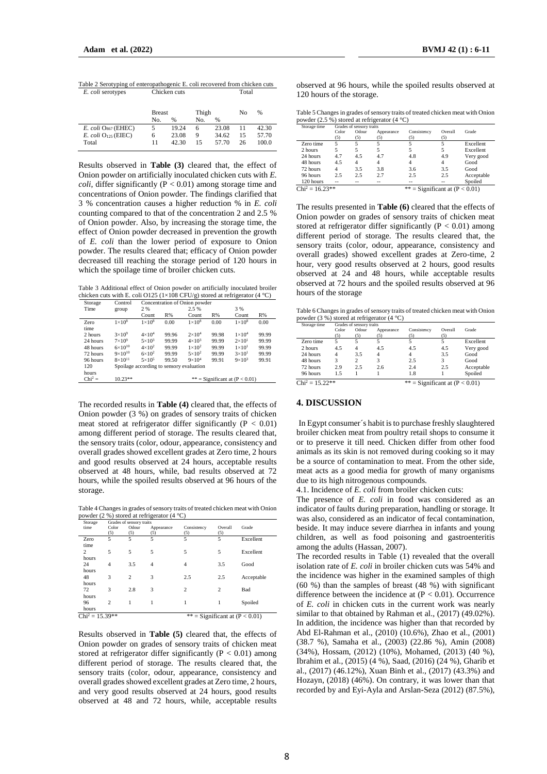| Table 2 Serotyping of enteropathogenic E. coli recovered from chicken cuts |               |               |       |       |    |       |  |
|----------------------------------------------------------------------------|---------------|---------------|-------|-------|----|-------|--|
| E. coli serotypes                                                          | Chicken cuts  |               |       | Total |    |       |  |
|                                                                            |               |               |       |       |    |       |  |
|                                                                            | <b>Breast</b> |               | Thigh |       | No | %     |  |
|                                                                            | No.           | $\frac{9}{6}$ | No.   | %     |    |       |  |
| $E.$ coli $O867$ (EHEC)                                                    | 5             | 19.24         | 6     | 23.08 | 11 | 42.30 |  |
| $E.$ coli $O125$ (EIEC)                                                    | 6             | 23.08         | 9     | 34.62 | 15 | 57.70 |  |
| Total                                                                      | 11            | 42.30         | 15    | 57.70 | 26 | 100.0 |  |

Results observed in **Table (3)** cleared that, the effect of Onion powder on artificially inoculated chicken cuts with *E. coli*, differ significantly ( $P < 0.01$ ) among storage time and concentrations of Onion powder. The findings clarified that 3 % concentration causes a higher reduction % in *E. coli* counting compared to that of the concentration 2 and 2.5 % of Onion powder. Also, by increasing the storage time, the effect of Onion powder decreased in prevention the growth of *E. coli* than the lower period of exposure to Onion powder. The results cleared that; efficacy of Onion powder decreased till reaching the storage period of 120 hours in which the spoilage time of broiler chicken cuts.

Table 3 Additional effect of Onion powder on artificially inoculated broiler chicken cuts with E. coli O125 (1×108 CFU/g) stored at refrigerator (4 °C)

| Storage   | Control            |                                          | Concentration of Onion powder |                 |       |                 |       |  |
|-----------|--------------------|------------------------------------------|-------------------------------|-----------------|-------|-----------------|-------|--|
| Time      | group              | 2 %                                      |                               | 2.5 %           |       |                 | 3 %   |  |
|           |                    | Count                                    | R%                            | Count           | R%    | Count           | R%    |  |
| Zero      | $1 \times 10^8$    | $1\times10^8$                            | 0.00                          | $1\times10^8$   | 0.00  | $1\times10^8$   | 0.00  |  |
| time      |                    |                                          |                               |                 |       |                 |       |  |
| 2 hours   | $3\times10^9$      | $4 \times 10^4$                          | 99.96                         | $2\times10^4$   | 99.98 | $1\times10^4$   | 99.99 |  |
| 24 hours  | $7\times10^9$      | $5 \times 10^3$                          | 99.99                         | $4 \times 10^3$ | 99.99 | $2\times101$    | 99.99 |  |
| 48 hours  | $6 \times 10^{10}$ | $4 \times 10^2$                          | 99.99                         | $1 \times 10^2$ | 99.99 | $1\times101$    | 99.99 |  |
| 72 hours  | $9 \times 10^{10}$ | $6 \times 10^2$                          | 99.99                         | $5 \times 10^2$ | 99.99 | $3\times10^{1}$ | 99.99 |  |
| 96 hours  | $8 \times 10^{11}$ | $5 \times 10^5$                          | 99.50                         | $9 \times 10^4$ | 99.91 | $9\times10^3$   | 99.91 |  |
| 120       |                    | Spoilage according to sensory evaluation |                               |                 |       |                 |       |  |
| hours     |                    |                                          |                               |                 |       |                 |       |  |
| $Chi^2 =$ | $10.23**$          | ** = Significant at $(P < 0.01)$         |                               |                 |       |                 |       |  |

The recorded results in **Table (4)** cleared that, the effects of Onion powder (3 %) on grades of sensory traits of chicken meat stored at refrigerator differ significantly ( $P < 0.01$ ) among different period of storage. The results cleared that, the sensory traits (color, odour, appearance, consistency and overall grades showed excellent grades at Zero time, 2 hours and good results observed at 24 hours, acceptable results observed at 48 hours, while, bad results observed at 72 hours, while the spoiled results observed at 96 hours of the storage.

Table 4 Changes in grades of sensory traits of treated chicken meat with Onion powder (2 %) stored at refrigerator (4 °C)

| Storage           | Grades of sensory traits |                |                |             |                |                                  |  |  |
|-------------------|--------------------------|----------------|----------------|-------------|----------------|----------------------------------|--|--|
| time              | Color                    | Odour          | Appearance     | Consistency | Overall        | Grade                            |  |  |
|                   | (5)                      | (5)            | (5)            | (5)         | (5)            |                                  |  |  |
| Zero              | 5                        | 5              | 5              | 5           | 5              | Excellent                        |  |  |
| time              |                          |                |                |             |                |                                  |  |  |
| 2                 | 5                        | 5              | 5              | 5           | 5              | Excellent                        |  |  |
| hours             |                          |                |                |             |                |                                  |  |  |
| 24                | $\overline{4}$           | 3.5            | $\overline{4}$ | 4           | 3.5            | Good                             |  |  |
| hours             |                          |                |                |             |                |                                  |  |  |
| 48                | 3                        | $\overline{c}$ | 3              | 2.5         | 2.5            | Acceptable                       |  |  |
| hours             |                          |                |                |             |                |                                  |  |  |
| 72                | 3                        | 2.8            | 3              | 2           | $\overline{c}$ | Bad                              |  |  |
| hours             |                          |                |                |             |                |                                  |  |  |
| 96                | $\overline{c}$           |                |                | 1           |                | Spoiled                          |  |  |
| hours             |                          |                |                |             |                |                                  |  |  |
| $Chi^2 = 15.39**$ |                          |                |                |             |                | ** = Significant at $(P < 0.01)$ |  |  |

Results observed in **Table (5)** cleared that, the effects of Onion powder on grades of sensory traits of chicken meat stored at refrigerator differ significantly ( $P < 0.01$ ) among different period of storage. The results cleared that, the sensory traits (color, odour, appearance, consistency and overall grades showed excellent grades at Zero time, 2 hours, and very good results observed at 24 hours, good results observed at 48 and 72 hours, while, acceptable results

observed at 96 hours, while the spoiled results observed at 120 hours of the storage.

| Table 5 Changes in grades of sensory traits of treated chicken meat with Onion |  |
|--------------------------------------------------------------------------------|--|
| powder (2.5 %) stored at refrigerator (4 $^{\circ}$ C)                         |  |

| Storage time                                          | Grades of sensory traits |                |            |             |         |            |  |
|-------------------------------------------------------|--------------------------|----------------|------------|-------------|---------|------------|--|
|                                                       | Color                    | Odour          | Appearance | Consistency | Overall | Grade      |  |
|                                                       | (5)                      | (5)            | (5)        | (5)         | (5)     |            |  |
| Zero time                                             | 5                        |                |            |             |         | Excellent  |  |
| 2 hours                                               |                          |                |            |             |         | Excellent  |  |
| 24 hours                                              | 4.7                      | 4.5            | 4.7        | 4.8         | 4.9     | Very good  |  |
| 48 hours                                              | 4.5                      | $\overline{4}$ |            |             |         | Good       |  |
| 72 hours                                              | 4                        | 3.5            | 3.8        | 3.6         | 3.5     | Good       |  |
| 96 hours                                              | 2.5                      | 2.5            | 2.7        | 2.5         | 2.5     | Acceptable |  |
| 120 hours                                             |                          |                |            |             |         | Spoiled    |  |
| $Chi^2 = 16.23**$<br>** = Significant at $(P < 0.01)$ |                          |                |            |             |         |            |  |

The results presented in **Table (6)** cleared that the effects of Onion powder on grades of sensory traits of chicken meat stored at refrigerator differ significantly ( $P < 0.01$ ) among different period of storage. The results cleared that, the sensory traits (color, odour, appearance, consistency and overall grades) showed excellent grades at Zero-time, 2 hour, very good results observed at 2 hours, good results observed at 24 and 48 hours, while acceptable results observed at 72 hours and the spoiled results observed at 96 hours of the storage

Table 6 Changes in grades of sensory traits of treated chicken meat with Onion powder (3 %) stored at refrigerator (4 °C)

| Storage time      | Grades of sensory traits |       |            |                                  |         |            |  |
|-------------------|--------------------------|-------|------------|----------------------------------|---------|------------|--|
|                   | Color                    | Odour | Appearance | Consistency                      | Overall | Grade      |  |
|                   | (5)                      | (5)   | (5)        | (5)                              | (5)     |            |  |
| Zero time         | 5                        |       |            |                                  | 5       | Excellent  |  |
| 2 hours           | 4.5                      |       | 4.5        | 4.5                              | 4.5     | Very good  |  |
| 24 hours          | 4                        | 3.5   | 4          | 4                                | 3.5     | Good       |  |
| 48 hours          | 3                        | 2     |            | 2.5                              | 3       | Good       |  |
| 72 hours          | 2.9                      | 2.5   | 2.6        | 2.4                              | 2.5     | Acceptable |  |
| 96 hours          | 1.5                      |       |            | 1.8                              |         | Spoiled    |  |
| $Chi^2 = 15.22**$ |                          |       |            | ** = Significant at $(P < 0.01)$ |         |            |  |

## **4. DISCUSSION**

In Egypt consumer´s habit is to purchase freshly slaughtered broiler chicken meat from poultry retail shops to consume it or to preserve it till need. Chicken differ from other food animals as its skin is not removed during cooking so it may be a source of contamination to meat. From the other side, meat acts as a good media for growth of many organisms due to its high nitrogenous compounds.

4.1. Incidence of *E. coli* from broiler chicken cuts:

The presence of *E. coli* in food was considered as an indicator of faults during preparation, handling or storage. It was also, considered as an indicator of fecal contamination, beside. It may induce severe diarrhea in infants and young children, as well as food poisoning and gastroenteritis among the adults (Hassan, 2007).

The recorded results in Table (1) revealed that the overall isolation rate of *E. coli* in broiler chicken cuts was 54% and the incidence was higher in the examined samples of thigh (60 %) than the samples of breast (48 %) with significant difference between the incidence at  $(P < 0.01)$ . Occurrence of *E. coli* in chicken cuts in the current work was nearly similar to that obtained by Rahman et al., (2017) (49.02%). In addition, the incidence was higher than that recorded by Abd El-Rahman et al., (2010) (10.6%), Zhao et al., (2001) (38.7 %), Samaha et al., (2003) (22.86 %), Amin (2008) (34%), Hossam, (2012) (10%), Mohamed, (2013) (40 %), Ibrahim et al., (2015) (4 %), Saad, (2016) (24 %), Gharib et al., (2017) (46.12%), Xuan Binh et al., (2017) (43.3%) and Hozayn, (2018) (46%). On contrary, it was lower than that recorded by and Eyi-Ayla and Arslan-Seza (2012) (87.5%),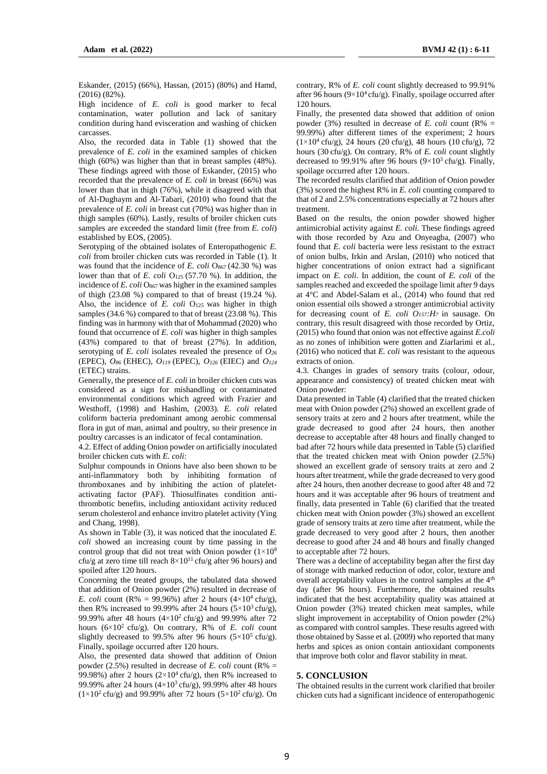Eskander, (2015) (66%), Hassan, (2015) (80%) and Hamd, (2016) (82%).

High incidence of *E. coli* is good marker to fecal contamination, water pollution and lack of sanitary condition during hand evisceration and washing of chicken carcasses.

Also, the recorded data in Table (1) showed that the prevalence of *E. coli* in the examined samples of chicken thigh (60%) was higher than that in breast samples (48%). These findings agreed with those of Eskander, (2015) who recorded that the prevalence of *E. coli* in breast (66%) was lower than that in thigh (76%), while it disagreed with that of Al-Dughaym and Al-Tabari, (2010) who found that the prevalence of *E. coli* in breast cut (70%) was higher than in thigh samples (60%). Lastly, results of broiler chicken cuts samples are exceeded the standard limit (free from *E. coli*) established by EOS, (2005).

Serotyping of the obtained isolates of Enteropathogenic *E. coli* from broiler chicken cuts was recorded in Table (1). It was found that the incidence of *E. coli*  $O_{867}$  (42.30 %) was lower than that of *E. coli* O<sub>125</sub> (57.70 %). In addition, the incidence of *E. coli* O<sub>867</sub> was higher in the examined samples of thigh (23.08 %) compared to that of breast (19.24 %). Also, the incidence of *E. coli* O<sub>125</sub> was higher in thigh samples (34.6 %) compared to that of breast (23.08 %). This finding was in harmony with that of Mohammad (2020) who found that occurrence of *E. coli* was higher in thigh samples (43%) compared to that of breast (27%). In addition, serotyping of *E. coli* isolates revealed the presence of *O<sup>26</sup>* (EPEC), *O86* (EHEC), *O119* (EPEC), *O126* (EIEC) and *O<sup>124</sup>* (ETEC) strains.

Generally, the presence of *E. coli* in broiler chicken cuts was considered as a sign for mishandling or contaminated environmental conditions which agreed with Frazier and Westhoff, (1998) and Hashim, (2003). *E. coli* related coliform bacteria predominant among aerobic commensal flora in gut of man, animal and poultry, so their presence in poultry carcasses is an indicator of fecal contamination.

4.2. Effect of adding Onion powder on artificially inoculated broiler chicken cuts with *E. coli*:

Sulphur compounds in Onions have also been shown to be anti-inflammatory both by inhibiting formation of thromboxanes and by inhibiting the action of plateletactivating factor (PAF). Thiosulfinates condition antithrombotic benefits, including antioxidant activity reduced serum cholesterol and enhance invitro platelet activity (Ying and Chang, 1998).

As shown in Table (3), it was noticed that the inoculated *E. coli* showed an increasing count by time passing in the control group that did not treat with Onion powder  $(1\times10^8)$ cfu/g at zero time till reach  $8\times10^{11}$  cfu/g after 96 hours) and spoiled after 120 hours.

Concerning the treated groups, the tabulated data showed that addition of Onion powder (2%) resulted in decrease of *E. coli* count (R% =  $99.96\%$ ) after 2 hours ( $4 \times 10^4$  cfu/g), then R% increased to 99.99% after 24 hours  $(5 \times 10^3 \text{ cftu/g})$ , 99.99% after 48 hours  $(4 \times 10^{2} \text{ cftu/g})$  and 99.99% after 72 hours (6×10<sup>2</sup> cfu/g). On contrary, R% of *E. coli* count slightly decreased to 99.5% after 96 hours  $(5\times10^5 \text{ cftu/g})$ . Finally, spoilage occurred after 120 hours.

Also, the presented data showed that addition of Onion powder (2.5%) resulted in decrease of *E. coli* count (R% = 99.98%) after 2 hours  $(2\times10^4 \text{ cftu/g})$ , then R% increased to 99.99% after 24 hours  $(4\times10^3 \text{ cftu/g})$ , 99.99% after 48 hours  $(1\times10^2 \text{ cftu/g})$  and 99.99% after 72 hours  $(5\times10^2 \text{ cftu/g})$ . On contrary, R% of *E. coli* count slightly decreased to 99.91% after 96 hours ( $9 \times 10^4$  cfu/g). Finally, spoilage occurred after 120 hours.

Finally, the presented data showed that addition of onion powder (3%) resulted in decrease of *E. coli* count ( $R\%$  = 99.99%) after different times of the experiment; 2 hours  $(1\times10^4 \text{ cftu/g})$ , 24 hours (20 cfu/g), 48 hours (10 cfu/g), 72 hours (30 cfu/g). On contrary, R% of *E. coli* count slightly decreased to 99.91% after 96 hours ( $9\times10^3$  cfu/g). Finally, spoilage occurred after 120 hours.

The recorded results clarified that addition of Onion powder (3%) scored the highest R% in *E. coli* counting compared to that of 2 and 2.5% concentrations especially at 72 hours after treatment.

Based on the results, the onion powder showed higher antimicrobial activity against *E. coli.* These findings agreed with those recorded by Azu and Onyeagba, (2007) who found that *E. coli* bacteria were less resistant to the extract of onion bulbs, Irkin and Arslan, (2010) who noticed that higher concentrations of onion extract had a significant impact on *E. coli*. In addition, the count of *E. coli* of the samples reached and exceeded the spoilage limit after 9 days at 4°C and Abdel-Salam et al., (2014) who found that red onion essential oils showed a stronger antimicrobial activity for decreasing count of *E. coli O157:H<sup>7</sup>* in sausage. On contrary, this result disagreed with those recorded by Ortiz, (2015) who found that onion was not effective against *E.coli* as no zones of inhibition were gotten and Ziarlarimi et al., (2016) who noticed that *E. coli* was resistant to the aqueous extracts of onion.

4.3. Changes in grades of sensory traits (colour, odour, appearance and consistency) of treated chicken meat with Onion powder:

Data presented in Table (4) clarified that the treated chicken meat with Onion powder (2%) showed an excellent grade of sensory traits at zero and 2 hours after treatment, while the grade decreased to good after 24 hours, then another decrease to acceptable after 48 hours and finally changed to bad after 72 hours while data presented in Table (5) clarified that the treated chicken meat with Onion powder (2.5%) showed an excellent grade of sensory traits at zero and 2 hours after treatment, while the grade decreased to very good after 24 hours, then another decrease to good after 48 and 72 hours and it was acceptable after 96 hours of treatment and finally, data presented in Table (6) clarified that the treated chicken meat with Onion powder (3%) showed an excellent grade of sensory traits at zero time after treatment, while the grade decreased to very good after 2 hours, then another decrease to good after 24 and 48 hours and finally changed to acceptable after 72 hours.

There was a decline of acceptability began after the first day of storage with marked reduction of odor, color, texture and overall acceptability values in the control samples at the 4<sup>th</sup> day (after 96 hours). Furthermore, the obtained results indicated that the best acceptability quality was attained at Onion powder (3%) treated chicken meat samples, while slight improvement in acceptability of Onion powder (2%) as compared with control samples. These results agreed with those obtained by Sasse et al. (2009) who reported that many herbs and spices as onion contain antioxidant components that improve both color and flavor stability in meat.

## **5. CONCLUSION**

The obtained results in the current work clarified that broiler chicken cuts had a significant incidence of enteropathogenic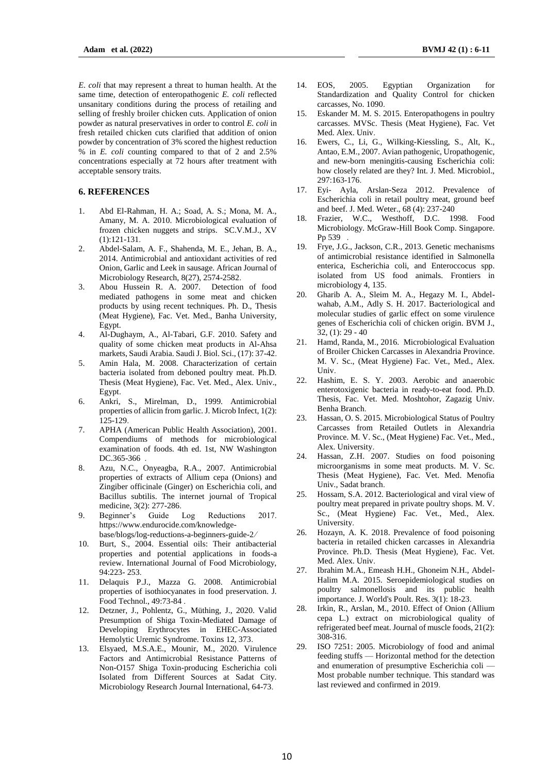*E. coli* that may represent a threat to human health. At the same time, detection of enteropathogenic *E. coli* reflected unsanitary conditions during the process of retailing and selling of freshly broiler chicken cuts. Application of onion powder as natural preservatives in order to control *E. coli* in fresh retailed chicken cuts clarified that addition of onion powder by concentration of 3% scored the highest reduction % in *E. coli* counting compared to that of 2 and 2.5% concentrations especially at 72 hours after treatment with acceptable sensory traits.

## **6. REFERENCES**

- 1. Abd El-Rahman, H. A.; Soad, A. S.; Mona, M. A., Amany, M. A. 2010. Microbiological evaluation of frozen chicken nuggets and strips. SC.V.M.J., XV (1):121-131.
- 2. Abdel-Salam, A. F., Shahenda, M. E., Jehan, B. A., 2014. Antimicrobial and antioxidant activities of red Onion, Garlic and Leek in sausage. African Journal of Microbiology Research, 8(27), 2574-2582.
- 3. Abou Hussein R. A. 2007. Detection of food mediated pathogens in some meat and chicken products by using recent techniques. Ph. D., Thesis (Meat Hygiene), Fac. Vet. Med., Banha University, Egypt.
- 4. Al-Dughaym, A., Al-Tabari, G.F. 2010. Safety and quality of some chicken meat products in Al-Ahsa markets, Saudi Arabia. Saudi J. Biol. Sci., (17): 37-42.
- 5. Amin Hala, M. 2008. Characterization of certain bacteria isolated from deboned poultry meat. Ph.D. Thesis (Meat Hygiene), Fac. Vet. Med., Alex. Univ., Egypt.
- 6. Ankri, S., Mirelman, D., 1999. Antimicrobial properties of allicin from garlic. J. Microb Infect, 1(2): 125-129.
- 7. APHA (American Public Health Association), 2001. Compendiums of methods for microbiological examination of foods. 4th ed. 1st, NW Washington DC.365-366
- 8. Azu, N.C., Onyeagba, R.A., 2007. Antimicrobial properties of extracts of Allium cepa (Onions) and Zingiber officinale (Ginger) on Escherichia coli, and Bacillus subtilis. The internet journal of Tropical medicine, 3(2): 277-286.
- 9. Beginner's Guide Log Reductions 2017. https://www.endurocide.com/knowledgebase/blogs/log-reductions-a-beginners-guide-2/
- 10. Burt, S., 2004. Essential oils: Their antibacterial properties and potential applications in foods-a review. International Journal of Food Microbiology, 94:223- 253.
- 11. Delaquis P.J., Mazza G. 2008. Antimicrobial properties of isothiocyanates in food preservation. J. Food Technol., 49:73-84 .
- 12. Detzner, J., Pohlentz, G., Müthing, J., 2020. Valid Presumption of Shiga Toxin-Mediated Damage of Developing Erythrocytes in EHEC-Associated Hemolytic Uremic Syndrome. Toxins 12, 373.
- 13. Elsyaed, M.S.A.E., Mounir, M., 2020. Virulence Factors and Antimicrobial Resistance Patterns of Non-O157 Shiga Toxin-producing Escherichia coli Isolated from Different Sources at Sadat City. Microbiology Research Journal International, 64-73.
- 14. EOS, 2005. Egyptian Organization for Standardization and Quality Control for chicken carcasses, No. 1090.
- 15. Eskander M. M. S. 2015. Enteropathogens in poultry carcasses. MVSc. Thesis (Meat Hygiene), Fac. Vet Med. Alex. Univ.
- 16. Ewers, C., Li, G., Wilking-Kiessling, S., Alt, K., Antao, E.M., 2007. Avian pathogenic, Uropathogenic, and new-born meningitis-causing Escherichia coli: how closely related are they? Int. J. Med. Microbiol., 297:163-176.
- 17. Eyi- Ayla, Arslan-Seza 2012. Prevalence of Escherichia coli in retail poultry meat, ground beef and beef. J. Med. Weter., 68 (4): 237-240
- 18. Frazier, W.C., Westhoff, D.C. 1998. Food Microbiology. McGraw-Hill Book Comp. Singapore. Pp 539 .
- 19. Frye, J.G., Jackson, C.R., 2013. Genetic mechanisms of antimicrobial resistance identified in Salmonella enterica, Escherichia coli, and Enteroccocus spp. isolated from US food animals. Frontiers in microbiology 4, 135.
- 20. Gharib A. A., Sleim M. A., Hegazy M. I., Abdelwahab, A.M., Adly S. H. 2017. Bacteriological and molecular studies of garlic effect on some virulence genes of Escherichia coli of chicken origin. BVM J.,  $32, (1)$ : 29 - 40
- 21. Hamd, Randa, M., 2016. Microbiological Evaluation of Broiler Chicken Carcasses in Alexandria Province. M. V. Sc., (Meat Hygiene) Fac. Vet., Med., Alex. Univ.
- 22. Hashim, E. S. Y. 2003. Aerobic and anaerobic enterotoxigenic bacteria in ready-to-eat food. Ph.D. Thesis, Fac. Vet. Med. Moshtohor, Zagazig Univ. Benha Branch.
- 23. Hassan, O. S. 2015. Microbiological Status of Poultry Carcasses from Retailed Outlets in Alexandria Province. M. V. Sc., (Meat Hygiene) Fac. Vet., Med., Alex. University.
- 24. Hassan, Z.H. 2007. Studies on food poisoning microorganisms in some meat products. M. V. Sc. Thesis (Meat Hygiene), Fac. Vet. Med. Menofia Univ., Sadat branch.
- 25. Hossam, S.A. 2012. Bacteriological and viral view of poultry meat prepared in private poultry shops. M. V. Sc., (Meat Hygiene) Fac. Vet., Med., Alex. University.
- 26. Hozayn, A. K. 2018. Prevalence of food poisoning bacteria in retailed chicken carcasses in Alexandria Province. Ph.D. Thesis (Meat Hygiene), Fac. Vet. Med. Alex. Univ.
- 27. Ibrahim M.A., Emeash H.H., Ghoneim N.H., Abdel-Halim M.A. 2015. Seroepidemiological studies on poultry salmonellosis and its public health importance. J. World's Poult. Res. 3(1): 18-23.
- 28. Irkin, R., Arslan, M., 2010. Effect of Onion (Allium cepa L.) extract on microbiological quality of refrigerated beef meat. Journal of muscle foods, 21(2): 308-316.
- 29. ISO 7251: 2005. Microbiology of food and animal feeding stuffs — Horizontal method for the detection and enumeration of presumptive Escherichia coli — Most probable number technique. This standard was last reviewed and confirmed in 2019.